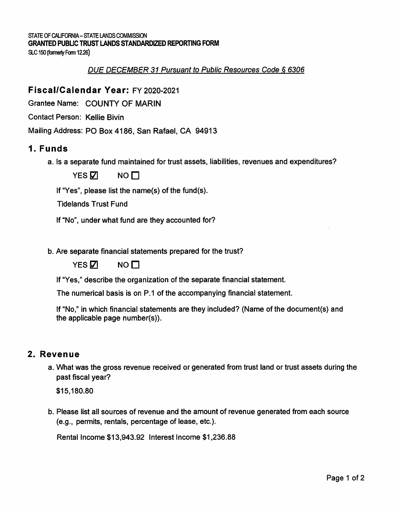STATE OF CALIFORNIA-STATE LANDS COMMISSION **GRANTED PUBLIC TRUST LANDS STANDARDIZED REPORTING FORM** 

SLC 150 (famerty Form 1226)

#### DUE DECEMBER 31 Pursuant to Public Resources Code§ 6306

# **Fiscal/Calendar Year:** FY 2020-2021

Grantee Name: COUNTY OF MARIN

Contact Person: Kellie Bivin

Mailing Address: PO Box 4186, San Rafael, CA 94913

# **1. Funds**

a. Is a separate fund maintained for trust assets, liabilities, revenues and expenditures?

 $YES\overline{V}$  NO  $\Pi$ 

If "Yes", please list the name(s) of the fund(s).

Tidelands Trust Fund

If "No", under what fund are they accounted for?

b. Are separate financial statements prepared for the trust?

 $YES\overline{V}$  NO  $\Pi$ 

If "Yes," describe the organization of the separate financial statement.

The numerical basis is on P.1 of the accompanying financial statement.

If "No," in which financial statements are they included? (Name of the document(s) and the applicable page number(s)).

#### **2. Revenue**

a. What was the gross revenue received or generated from trust land or trust assets during the past fiscal year?

\$[15,180.80](https://15,180.80) 

b. Please list all sources of revenue and the amount of revenue generated from each source (e.g., permits, rentals, percentage of lease, etc.).

Rental Income [\\$13,943.92](https://13,943.92) Interest Income \$[1,236.88](https://1,236.88)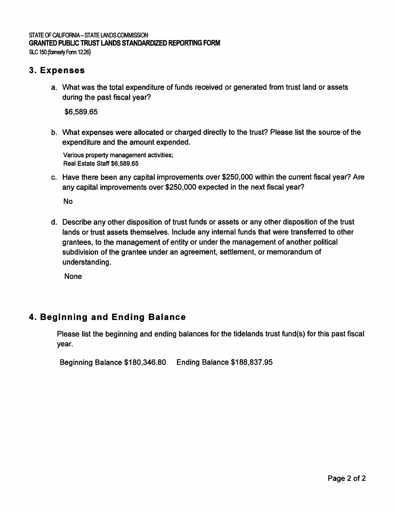# STATE OF CALIFORNIA-STATE LANDS COMMISSION **GRANTED PUBLIC TRUST LANDS STANDARDIZED REPORTING FORM**

SLC 150 (formerly Form 12.26)

## **3. Expenses**

a. What was the total expenditure of funds received or generated from trust land or assets during the past fiscal year?

\$[6,589.65](https://6,589.65)

b. What expenses were allocated or charged directly to the trust? Please list the source of the expenditure and the amount expended.

Various property management activities; Real Estate Staff [\\$6,589.65](https://6,589.65)

c. Have there been any capital improvements over \$250,000 within the current fiscal year? Are any capital improvements over \$250,000 expected in the next fiscal year?

No

d. Describe any other disposition of trust funds or assets or any other disposition of the trust lands or trust assets themselves. Include any internal funds that were transferred to other grantees, to the management of entity or under the management of another political subdivision of the grantee under an agreement, settlement, or memorandum of understanding.

None

# **4. Beginning and Ending Balance**

Please list the beginning and ending balances for the tidelands trust fund(s) for this past fiscal year.

```
Beginning Balance $180,346.80 Ending Balance $188,837.95
```